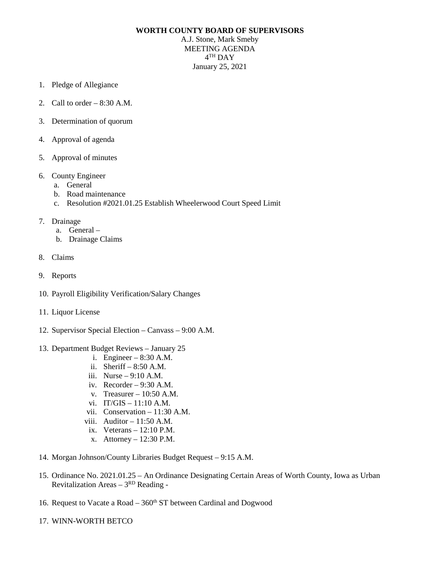## **WORTH COUNTY BOARD OF SUPERVISORS**

A.J. Stone, Mark Smeby MEETING AGENDA 4TH DAY January 25, 2021

- 1. Pledge of Allegiance
- 2. Call to order  $-8:30$  A.M.
- 3. Determination of quorum
- 4. Approval of agenda
- 5. Approval of minutes
- 6. County Engineer
	- a. General
	- b. Road maintenance
	- c. Resolution #2021.01.25 Establish Wheelerwood Court Speed Limit
- 7. Drainage
	- a. General –
	- b. Drainage Claims
- 8. Claims
- 9. Reports
- 10. Payroll Eligibility Verification/Salary Changes
- 11. Liquor License
- 12. Supervisor Special Election Canvass 9:00 A.M.
- 13. Department Budget Reviews January 25
	- i. Engineer 8:30 A.M.
	- ii. Sheriff  $-8:50$  A.M.
	- iii. Nurse 9:10 A.M.
	- iv. Recorder  $-9:30$  A.M.
	- v. Treasurer 10:50 A.M.
	- vi. IT/GIS 11:10 A.M.
	- vii. Conservation 11:30 A.M.
	- viii. Auditor  $-11:50$  A.M.
	- ix. Veterans 12:10 P.M.
	- x. Attorney 12:30 P.M.
- 14. Morgan Johnson/County Libraries Budget Request 9:15 A.M.
- 15. Ordinance No. 2021.01.25 An Ordinance Designating Certain Areas of Worth County, Iowa as Urban Revitalization Areas  $-3^{RD}$  Reading -
- 16. Request to Vacate a Road  $-360<sup>th</sup>$  ST between Cardinal and Dogwood
- 17. WINN-WORTH BETCO